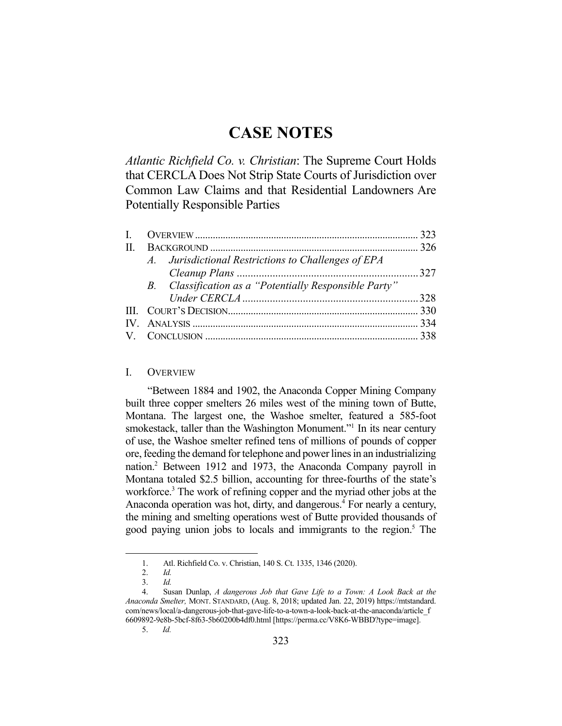# **CASE NOTES**

*Atlantic Richfield Co. v. Christian*: The Supreme Court Holds that CERCLA Does Not Strip State Courts of Jurisdiction over Common Law Claims and that Residential Landowners Are Potentially Responsible Parties

|  | A. Jurisdictional Restrictions to Challenges of EPA    |  |
|--|--------------------------------------------------------|--|
|  |                                                        |  |
|  | B. Classification as a "Potentially Responsible Party" |  |
|  |                                                        |  |
|  |                                                        |  |
|  |                                                        |  |
|  |                                                        |  |
|  |                                                        |  |

## I. OVERVIEW

 "Between 1884 and 1902, the Anaconda Copper Mining Company built three copper smelters 26 miles west of the mining town of Butte, Montana. The largest one, the Washoe smelter, featured a 585-foot smokestack, taller than the Washington Monument."<sup>1</sup> In its near century of use, the Washoe smelter refined tens of millions of pounds of copper ore, feeding the demand for telephone and power lines in an industrializing nation.2 Between 1912 and 1973, the Anaconda Company payroll in Montana totaled \$2.5 billion, accounting for three-fourths of the state's workforce.<sup>3</sup> The work of refining copper and the myriad other jobs at the Anaconda operation was hot, dirty, and dangerous.<sup>4</sup> For nearly a century, the mining and smelting operations west of Butte provided thousands of good paying union jobs to locals and immigrants to the region.<sup>5</sup> The

 <sup>1.</sup> Atl. Richfield Co. v. Christian, 140 S. Ct. 1335, 1346 (2020).

 <sup>2.</sup> *Id.* 

 <sup>3.</sup> *Id.* 

 <sup>4.</sup> Susan Dunlap, *A dangerous Job that Gave Life to a Town: A Look Back at the Anaconda Smelter,* MONT. STANDARD, (Aug. 8, 2018; updated Jan. 22, 2019) https://mtstandard. com/news/local/a-dangerous-job-that-gave-life-to-a-town-a-look-back-at-the-anaconda/article\_f 6609892-9e8b-5bcf-8f63-5b60200b4df0.html [https://perma.cc/V8K6-WBBD?type=image].

 <sup>5.</sup> *Id.*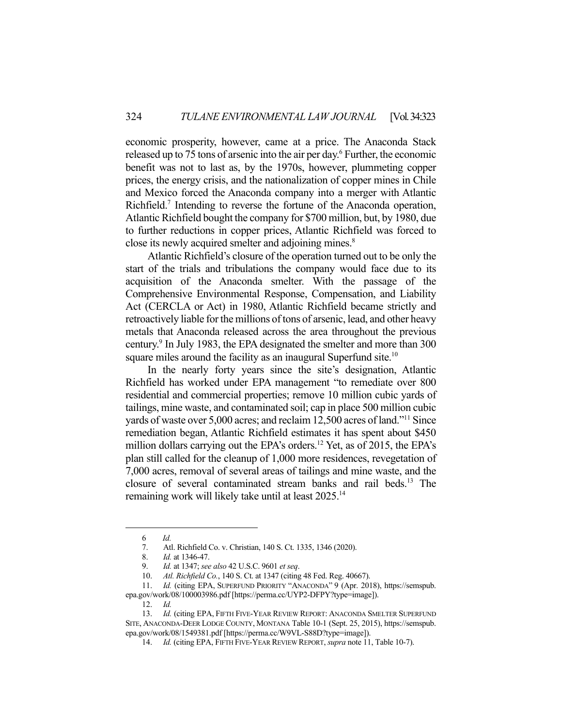economic prosperity, however, came at a price. The Anaconda Stack released up to 75 tons of arsenic into the air per day.<sup>6</sup> Further, the economic benefit was not to last as, by the 1970s, however, plummeting copper prices, the energy crisis, and the nationalization of copper mines in Chile and Mexico forced the Anaconda company into a merger with Atlantic Richfield.<sup>7</sup> Intending to reverse the fortune of the Anaconda operation, Atlantic Richfield bought the company for \$700 million, but, by 1980, due to further reductions in copper prices, Atlantic Richfield was forced to close its newly acquired smelter and adjoining mines.<sup>8</sup>

 Atlantic Richfield's closure of the operation turned out to be only the start of the trials and tribulations the company would face due to its acquisition of the Anaconda smelter. With the passage of the Comprehensive Environmental Response, Compensation, and Liability Act (CERCLA or Act) in 1980, Atlantic Richfield became strictly and retroactively liable for the millions of tons of arsenic, lead, and other heavy metals that Anaconda released across the area throughout the previous century.<sup>9</sup> In July 1983, the EPA designated the smelter and more than 300 square miles around the facility as an inaugural Superfund site.<sup>10</sup>

 In the nearly forty years since the site's designation, Atlantic Richfield has worked under EPA management "to remediate over 800 residential and commercial properties; remove 10 million cubic yards of tailings, mine waste, and contaminated soil; cap in place 500 million cubic yards of waste over 5,000 acres; and reclaim 12,500 acres of land."11 Since remediation began, Atlantic Richfield estimates it has spent about \$450 million dollars carrying out the EPA's orders.<sup>12</sup> Yet, as of 2015, the EPA's plan still called for the cleanup of 1,000 more residences, revegetation of 7,000 acres, removal of several areas of tailings and mine waste, and the closure of several contaminated stream banks and rail beds.13 The remaining work will likely take until at least 2025.14

 <sup>6</sup> *Id.* 

 <sup>7.</sup> Atl. Richfield Co. v. Christian, 140 S. Ct. 1335, 1346 (2020).

 <sup>8.</sup> *Id.* at 1346-47.

 <sup>9.</sup> *Id.* at 1347; *see also* 42 U.S.C. 9601 *et seq*.

 <sup>10.</sup> *Atl. Richfield Co.*, 140 S. Ct. at 1347 (citing 48 Fed. Reg. 40667).

 <sup>11.</sup> *Id.* (citing EPA, SUPERFUND PRIORITY "ANACONDA" 9 (Apr. 2018), https://semspub. epa.gov/work/08/100003986.pdf [https://perma.cc/UYP2-DFPY?type=image]).

 <sup>12.</sup> *Id.* 

<sup>13.</sup> *Id.* (citing EPA, FIFTH FIVE-YEAR REVIEW REPORT: ANACONDA SMELTER SUPERFUND SITE, ANACONDA-DEER LODGE COUNTY, MONTANA Table 10-1 (Sept. 25, 2015), https://semspub. epa.gov/work/08/1549381.pdf [https://perma.cc/W9VL-S88D?type=image]).

 <sup>14.</sup> *Id.* (citing EPA, FIFTH FIVE-YEAR REVIEW REPORT, *supra* note 11, Table 10-7).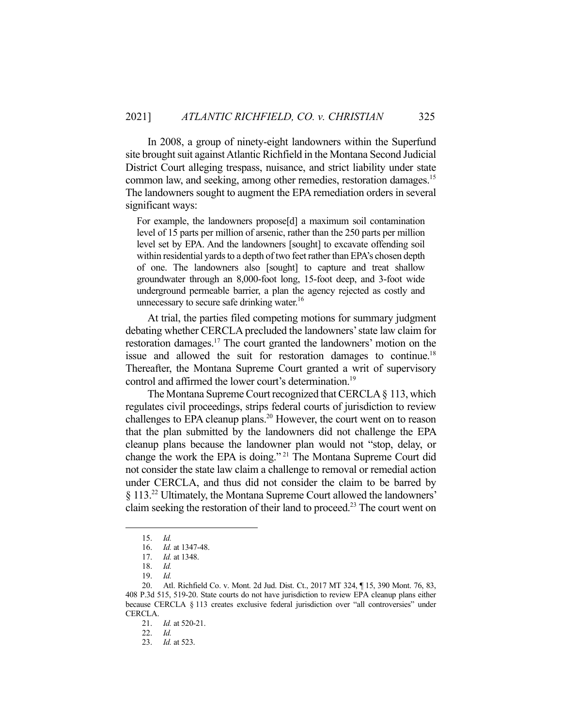In 2008, a group of ninety-eight landowners within the Superfund site brought suit against Atlantic Richfield in the Montana Second Judicial District Court alleging trespass, nuisance, and strict liability under state common law, and seeking, among other remedies, restoration damages.<sup>15</sup> The landowners sought to augment the EPA remediation orders in several significant ways:

For example, the landowners propose[d] a maximum soil contamination level of 15 parts per million of arsenic, rather than the 250 parts per million level set by EPA. And the landowners [sought] to excavate offending soil within residential yards to a depth of two feet rather than EPA's chosen depth of one. The landowners also [sought] to capture and treat shallow groundwater through an 8,000-foot long, 15-foot deep, and 3-foot wide underground permeable barrier, a plan the agency rejected as costly and unnecessary to secure safe drinking water.<sup>16</sup>

 At trial, the parties filed competing motions for summary judgment debating whether CERCLA precluded the landowners' state law claim for restoration damages.<sup>17</sup> The court granted the landowners' motion on the issue and allowed the suit for restoration damages to continue.<sup>18</sup> Thereafter, the Montana Supreme Court granted a writ of supervisory control and affirmed the lower court's determination.<sup>19</sup>

 The Montana Supreme Court recognized that CERCLA § 113, which regulates civil proceedings, strips federal courts of jurisdiction to review challenges to EPA cleanup plans.<sup>20</sup> However, the court went on to reason that the plan submitted by the landowners did not challenge the EPA cleanup plans because the landowner plan would not "stop, delay, or change the work the EPA is doing." 21 The Montana Supreme Court did not consider the state law claim a challenge to removal or remedial action under CERCLA, and thus did not consider the claim to be barred by § 113.22 Ultimately, the Montana Supreme Court allowed the landowners' claim seeking the restoration of their land to proceed.<sup>23</sup> The court went on

 <sup>15.</sup> *Id.* 

 <sup>16.</sup> *Id.* at 1347-48.

 <sup>17.</sup> *Id.* at 1348.

 <sup>18.</sup> *Id.* 

 <sup>19.</sup> *Id.* 

 <sup>20.</sup> Atl. Richfield Co. v. Mont. 2d Jud. Dist. Ct., 2017 MT 324, ¶ 15, 390 Mont. 76, 83, 408 P.3d 515, 519-20. State courts do not have jurisdiction to review EPA cleanup plans either because CERCLA § 113 creates exclusive federal jurisdiction over "all controversies" under CERCLA.

 <sup>21.</sup> *Id.* at 520-21.

 <sup>22.</sup> *Id.*

 <sup>23.</sup> *Id.* at 523.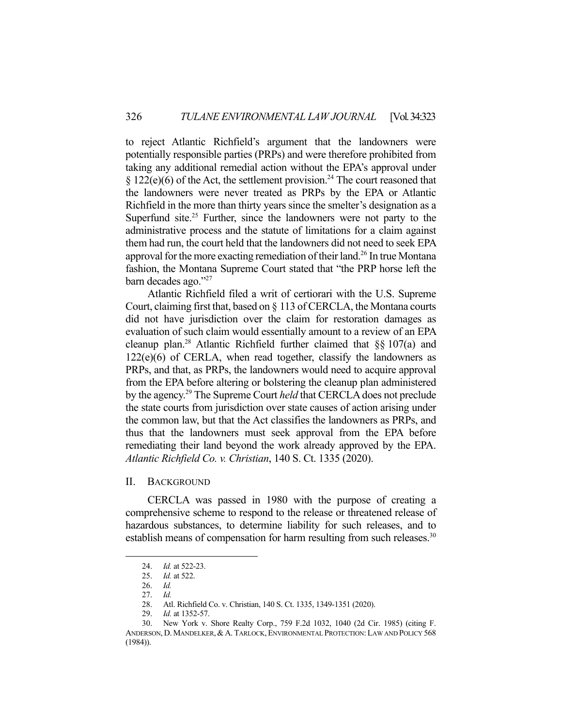to reject Atlantic Richfield's argument that the landowners were potentially responsible parties (PRPs) and were therefore prohibited from taking any additional remedial action without the EPA's approval under  $§ 122(e)(6)$  of the Act, the settlement provision.<sup>24</sup> The court reasoned that the landowners were never treated as PRPs by the EPA or Atlantic Richfield in the more than thirty years since the smelter's designation as a Superfund site.<sup>25</sup> Further, since the landowners were not party to the administrative process and the statute of limitations for a claim against them had run, the court held that the landowners did not need to seek EPA approval for the more exacting remediation of their land.<sup>26</sup> In true Montana fashion, the Montana Supreme Court stated that "the PRP horse left the barn decades ago."27

 Atlantic Richfield filed a writ of certiorari with the U.S. Supreme Court, claiming first that, based on § 113 of CERCLA, the Montana courts did not have jurisdiction over the claim for restoration damages as evaluation of such claim would essentially amount to a review of an EPA cleanup plan.<sup>28</sup> Atlantic Richfield further claimed that  $\S$ § 107(a) and  $122(e)(6)$  of CERLA, when read together, classify the landowners as PRPs, and that, as PRPs, the landowners would need to acquire approval from the EPA before altering or bolstering the cleanup plan administered by the agency.29 The Supreme Court *held* that CERCLA does not preclude the state courts from jurisdiction over state causes of action arising under the common law, but that the Act classifies the landowners as PRPs, and thus that the landowners must seek approval from the EPA before remediating their land beyond the work already approved by the EPA. *Atlantic Richfield Co. v. Christian*, 140 S. Ct. 1335 (2020).

## II. BACKGROUND

 CERCLA was passed in 1980 with the purpose of creating a comprehensive scheme to respond to the release or threatened release of hazardous substances, to determine liability for such releases, and to establish means of compensation for harm resulting from such releases.<sup>30</sup>

 <sup>24.</sup> *Id.* at 522-23.

 <sup>25.</sup> *Id.* at 522.

 <sup>26.</sup> *Id.*

 <sup>27.</sup> *Id.* 

 <sup>28.</sup> Atl. Richfield Co. v. Christian, 140 S. Ct. 1335, 1349-1351 (2020).

 <sup>29.</sup> *Id.* at 1352-57.

 <sup>30.</sup> New York v. Shore Realty Corp., 759 F.2d 1032, 1040 (2d Cir. 1985) (citing F. ANDERSON, D. MANDELKER, & A. TARLOCK, ENVIRONMENTAL PROTECTION: LAW AND POLICY 568 (1984)).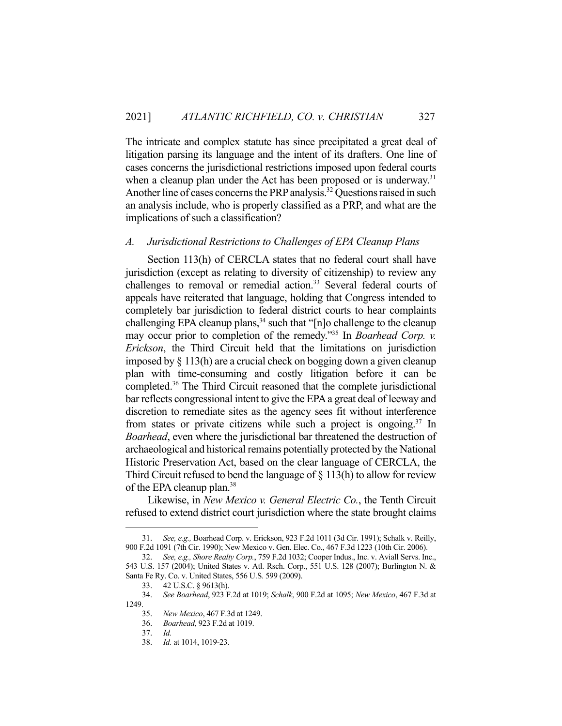The intricate and complex statute has since precipitated a great deal of litigation parsing its language and the intent of its drafters. One line of cases concerns the jurisdictional restrictions imposed upon federal courts when a cleanup plan under the Act has been proposed or is underway.<sup>31</sup> Another line of cases concerns the PRP analysis.<sup>32</sup> Questions raised in such an analysis include, who is properly classified as a PRP, and what are the implications of such a classification?

## *A. Jurisdictional Restrictions to Challenges of EPA Cleanup Plans*

 Section 113(h) of CERCLA states that no federal court shall have jurisdiction (except as relating to diversity of citizenship) to review any challenges to removal or remedial action.<sup>33</sup> Several federal courts of appeals have reiterated that language, holding that Congress intended to completely bar jurisdiction to federal district courts to hear complaints challenging EPA cleanup plans,  $34$  such that "[n]o challenge to the cleanup may occur prior to completion of the remedy."35 In *Boarhead Corp. v. Erickson*, the Third Circuit held that the limitations on jurisdiction imposed by § 113(h) are a crucial check on bogging down a given cleanup plan with time-consuming and costly litigation before it can be completed.36 The Third Circuit reasoned that the complete jurisdictional bar reflects congressional intent to give the EPA a great deal of leeway and discretion to remediate sites as the agency sees fit without interference from states or private citizens while such a project is ongoing.<sup>37</sup> In *Boarhead*, even where the jurisdictional bar threatened the destruction of archaeological and historical remains potentially protected by the National Historic Preservation Act, based on the clear language of CERCLA, the Third Circuit refused to bend the language of  $\S$  113(h) to allow for review of the EPA cleanup plan.38

 Likewise, in *New Mexico v. General Electric Co.*, the Tenth Circuit refused to extend district court jurisdiction where the state brought claims

 <sup>31.</sup> *See, e.g.,* Boarhead Corp. v. Erickson, 923 F.2d 1011 (3d Cir. 1991); Schalk v. Reilly, 900 F.2d 1091 (7th Cir. 1990); New Mexico v. Gen. Elec. Co., 467 F.3d 1223 (10th Cir. 2006).

 <sup>32.</sup> *See, e.g., Shore Realty Corp.*, 759 F.2d 1032; Cooper Indus., Inc. v. Aviall Servs. Inc., 543 U.S. 157 (2004); United States v. Atl. Rsch. Corp., 551 U.S. 128 (2007); Burlington N. & Santa Fe Ry. Co. v. United States, 556 U.S. 599 (2009).

 <sup>33. 42</sup> U.S.C. § 9613(h).

 <sup>34.</sup> *See Boarhead*, 923 F.2d at 1019; *Schalk*, 900 F.2d at 1095; *New Mexico*, 467 F.3d at 1249.

 <sup>35.</sup> *New Mexico*, 467 F.3d at 1249.

 <sup>36.</sup> *Boarhead*, 923 F.2d at 1019.

 <sup>37.</sup> *Id.* 

 <sup>38.</sup> *Id.* at 1014, 1019-23.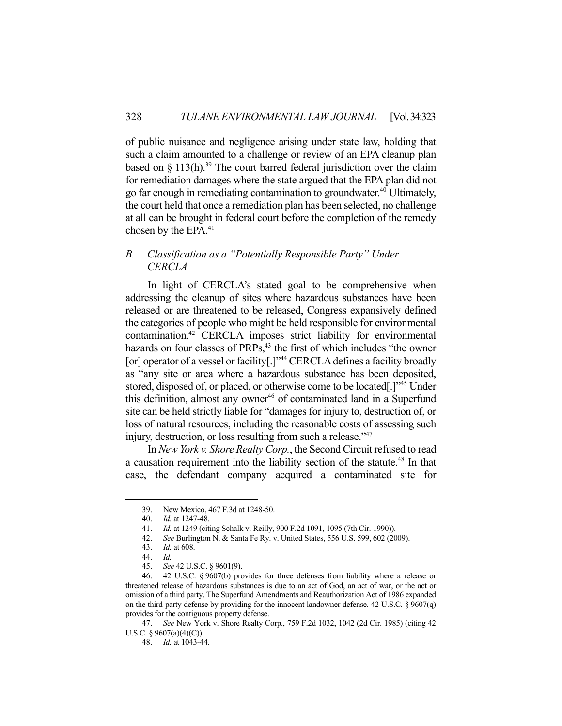of public nuisance and negligence arising under state law, holding that such a claim amounted to a challenge or review of an EPA cleanup plan based on  $\S$  113(h).<sup>39</sup> The court barred federal jurisdiction over the claim for remediation damages where the state argued that the EPA plan did not go far enough in remediating contamination to groundwater.40 Ultimately, the court held that once a remediation plan has been selected, no challenge at all can be brought in federal court before the completion of the remedy chosen by the EPA.<sup>41</sup>

## *B. Classification as a "Potentially Responsible Party" Under CERCLA*

 In light of CERCLA's stated goal to be comprehensive when addressing the cleanup of sites where hazardous substances have been released or are threatened to be released, Congress expansively defined the categories of people who might be held responsible for environmental contamination.42 CERCLA imposes strict liability for environmental hazards on four classes of PRPs,<sup>43</sup> the first of which includes "the owner [or] operator of a vessel or facility[.]"<sup>44</sup> CERCLA defines a facility broadly as "any site or area where a hazardous substance has been deposited, stored, disposed of, or placed, or otherwise come to be located[.]<sup>45</sup> Under this definition, almost any owner<sup>46</sup> of contaminated land in a Superfund site can be held strictly liable for "damages for injury to, destruction of, or loss of natural resources, including the reasonable costs of assessing such injury, destruction, or loss resulting from such a release."47

 In *New York v. Shore Realty Corp.*, the Second Circuit refused to read a causation requirement into the liability section of the statute.<sup>48</sup> In that case, the defendant company acquired a contaminated site for

 <sup>39.</sup> New Mexico, 467 F.3d at 1248-50.

 <sup>40.</sup> *Id.* at 1247-48.

 <sup>41.</sup> *Id.* at 1249 (citing Schalk v. Reilly, 900 F.2d 1091, 1095 (7th Cir. 1990)).

 <sup>42.</sup> *See* Burlington N. & Santa Fe Ry. v. United States, 556 U.S. 599, 602 (2009).

 <sup>43.</sup> *Id.* at 608.

 <sup>44.</sup> *Id.* 

 <sup>45.</sup> *See* 42 U.S.C. § 9601(9).

 <sup>46. 42</sup> U.S.C. § 9607(b) provides for three defenses from liability where a release or threatened release of hazardous substances is due to an act of God, an act of war, or the act or omission of a third party. The Superfund Amendments and Reauthorization Act of 1986 expanded on the third-party defense by providing for the innocent landowner defense. 42 U.S.C. § 9607(q) provides for the contiguous property defense.

 <sup>47.</sup> *See* New York v. Shore Realty Corp., 759 F.2d 1032, 1042 (2d Cir. 1985) (citing 42 U.S.C. § 9607(a)(4)(C)).

 <sup>48.</sup> *Id.* at 1043-44.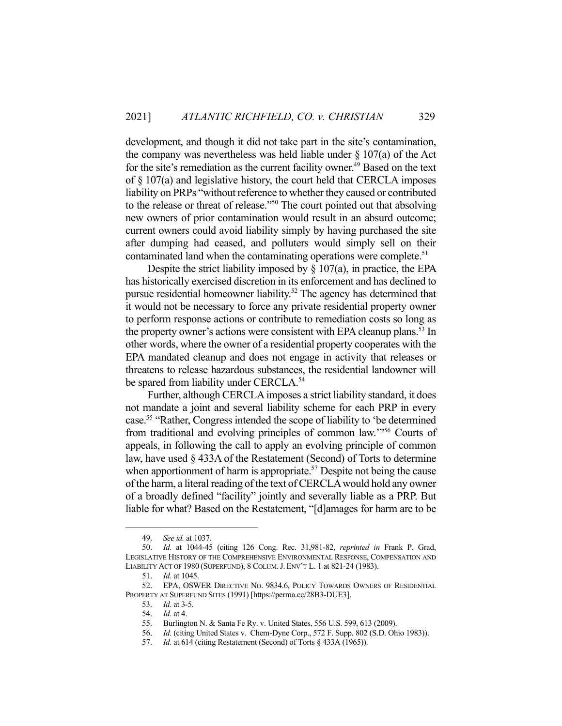development, and though it did not take part in the site's contamination, the company was nevertheless was held liable under  $\S 107(a)$  of the Act for the site's remediation as the current facility owner.<sup>49</sup> Based on the text of § 107(a) and legislative history, the court held that CERCLA imposes liability on PRPs "without reference to whether they caused or contributed to the release or threat of release."50 The court pointed out that absolving new owners of prior contamination would result in an absurd outcome; current owners could avoid liability simply by having purchased the site after dumping had ceased, and polluters would simply sell on their contaminated land when the contaminating operations were complete.<sup>51</sup>

Despite the strict liability imposed by  $\S 107(a)$ , in practice, the EPA has historically exercised discretion in its enforcement and has declined to pursue residential homeowner liability.52 The agency has determined that it would not be necessary to force any private residential property owner to perform response actions or contribute to remediation costs so long as the property owner's actions were consistent with EPA cleanup plans.<sup>53</sup> In other words, where the owner of a residential property cooperates with the EPA mandated cleanup and does not engage in activity that releases or threatens to release hazardous substances, the residential landowner will be spared from liability under CERCLA.<sup>54</sup>

 Further, although CERCLA imposes a strict liability standard, it does not mandate a joint and several liability scheme for each PRP in every case.55 "Rather, Congress intended the scope of liability to 'be determined from traditional and evolving principles of common law.'"56 Courts of appeals, in following the call to apply an evolving principle of common law, have used § 433A of the Restatement (Second) of Torts to determine when apportionment of harm is appropriate.<sup>57</sup> Despite not being the cause of the harm, a literal reading of the text of CERCLA would hold any owner of a broadly defined "facility" jointly and severally liable as a PRP. But liable for what? Based on the Restatement, "[d]amages for harm are to be

 <sup>49.</sup> *See id.* at 1037.

 <sup>50.</sup> *Id.* at 1044-45 (citing 126 Cong. Rec. 31,981-82, *reprinted in* Frank P. Grad, LEGISLATIVE HISTORY OF THE COMPREHENSIVE ENVIRONMENTAL RESPONSE, COMPENSATION AND LIABILITY ACT OF 1980 (SUPERFUND), 8 COLUM.J. ENV'T L. 1 at 821-24 (1983).

 <sup>51.</sup> *Id.* at 1045.

 <sup>52.</sup> EPA, OSWER DIRECTIVE NO. 9834.6, POLICY TOWARDS OWNERS OF RESIDENTIAL PROPERTY AT SUPERFUND SITES (1991) [https://perma.cc/28B3-DUE3].

 <sup>53.</sup> *Id.* at 3-5.

 <sup>54.</sup> *Id.* at 4.

 <sup>55.</sup> Burlington N. & Santa Fe Ry. v. United States, 556 U.S. 599, 613 (2009).

 <sup>56.</sup> *Id.* (citing United States v. Chem-Dyne Corp., 572 F. Supp. 802 (S.D. Ohio 1983)).

 <sup>57.</sup> *Id.* at 614 (citing Restatement (Second) of Torts § 433A (1965)).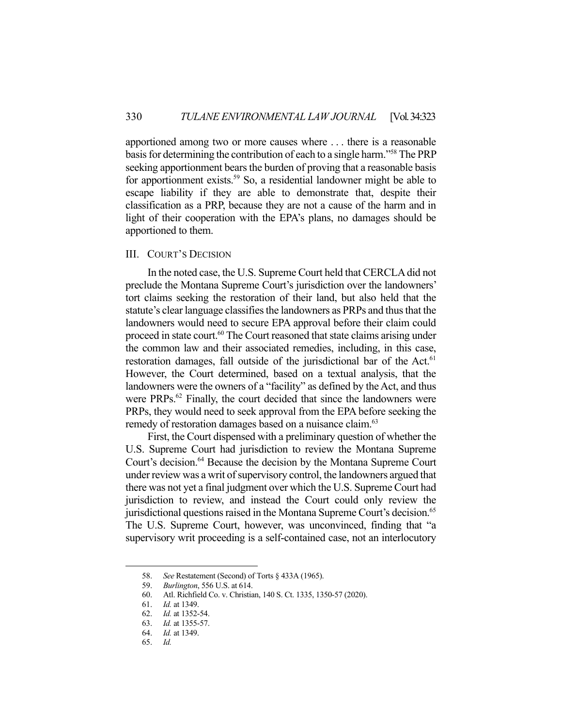apportioned among two or more causes where . . . there is a reasonable basis for determining the contribution of each to a single harm."<sup>58</sup> The PRP seeking apportionment bears the burden of proving that a reasonable basis for apportionment exists.<sup>59</sup> So, a residential landowner might be able to escape liability if they are able to demonstrate that, despite their classification as a PRP, because they are not a cause of the harm and in light of their cooperation with the EPA's plans, no damages should be apportioned to them.

## III. COURT'S DECISION

 In the noted case, the U.S. Supreme Court held that CERCLA did not preclude the Montana Supreme Court's jurisdiction over the landowners' tort claims seeking the restoration of their land, but also held that the statute's clear language classifies the landowners as PRPs and thus that the landowners would need to secure EPA approval before their claim could proceed in state court.<sup>60</sup> The Court reasoned that state claims arising under the common law and their associated remedies, including, in this case, restoration damages, fall outside of the jurisdictional bar of the Act.<sup>61</sup> However, the Court determined, based on a textual analysis, that the landowners were the owners of a "facility" as defined by the Act, and thus were PRPs.<sup>62</sup> Finally, the court decided that since the landowners were PRPs, they would need to seek approval from the EPA before seeking the remedy of restoration damages based on a nuisance claim.<sup>63</sup>

 First, the Court dispensed with a preliminary question of whether the U.S. Supreme Court had jurisdiction to review the Montana Supreme Court's decision.<sup>64</sup> Because the decision by the Montana Supreme Court under review was a writ of supervisory control, the landowners argued that there was not yet a final judgment over which the U.S. Supreme Court had jurisdiction to review, and instead the Court could only review the jurisdictional questions raised in the Montana Supreme Court's decision.<sup>65</sup> The U.S. Supreme Court, however, was unconvinced, finding that "a supervisory writ proceeding is a self-contained case, not an interlocutory

 <sup>58.</sup> *See* Restatement (Second) of Torts § 433A (1965).

 <sup>59.</sup> *Burlington*, 556 U.S. at 614.

 <sup>60.</sup> Atl. Richfield Co. v. Christian, 140 S. Ct. 1335, 1350-57 (2020).

 <sup>61.</sup> *Id.* at 1349.

 <sup>62.</sup> *Id.* at 1352-54.

 <sup>63.</sup> *Id.* at 1355-57.

 <sup>64.</sup> *Id.* at 1349.

 <sup>65.</sup> *Id.*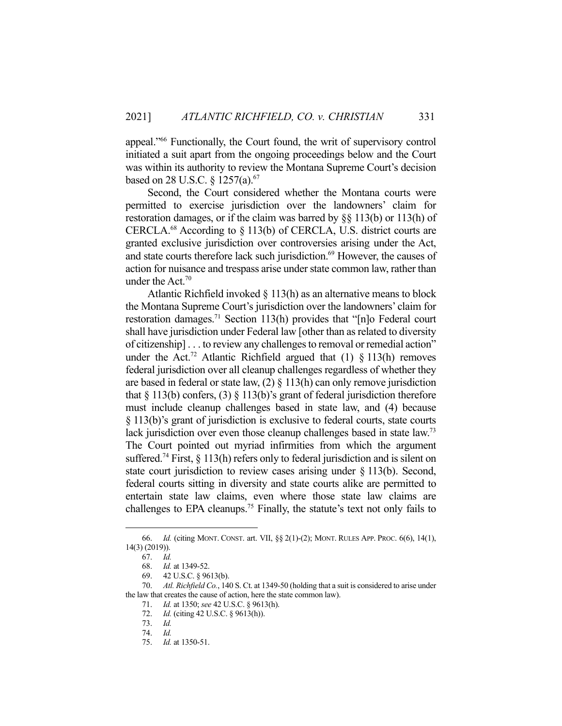appeal."66 Functionally, the Court found, the writ of supervisory control initiated a suit apart from the ongoing proceedings below and the Court was within its authority to review the Montana Supreme Court's decision based on 28 U.S.C. § 1257(a).<sup>67</sup>

 Second, the Court considered whether the Montana courts were permitted to exercise jurisdiction over the landowners' claim for restoration damages, or if the claim was barred by §§ 113(b) or 113(h) of CERCLA.<sup>68</sup> According to  $\S$  113(b) of CERCLA, U.S. district courts are granted exclusive jurisdiction over controversies arising under the Act, and state courts therefore lack such jurisdiction.<sup>69</sup> However, the causes of action for nuisance and trespass arise under state common law, rather than under the Act. $70$ 

 Atlantic Richfield invoked § 113(h) as an alternative means to block the Montana Supreme Court's jurisdiction over the landowners' claim for restoration damages.71 Section 113(h) provides that "[n]o Federal court shall have jurisdiction under Federal law [other than as related to diversity of citizenship] . . . to review any challenges to removal or remedial action" under the Act.<sup>72</sup> Atlantic Richfield argued that (1)  $\S$  113(h) removes federal jurisdiction over all cleanup challenges regardless of whether they are based in federal or state law,  $(2) \S 113(h)$  can only remove jurisdiction that  $\S 113(b)$  confers, (3)  $\S 113(b)$ 's grant of federal jurisdiction therefore must include cleanup challenges based in state law, and (4) because § 113(b)'s grant of jurisdiction is exclusive to federal courts, state courts lack jurisdiction over even those cleanup challenges based in state law.<sup>73</sup> The Court pointed out myriad infirmities from which the argument suffered.<sup>74</sup> First,  $\S$  113(h) refers only to federal jurisdiction and is silent on state court jurisdiction to review cases arising under § 113(b). Second, federal courts sitting in diversity and state courts alike are permitted to entertain state law claims, even where those state law claims are challenges to EPA cleanups.<sup>75</sup> Finally, the statute's text not only fails to

 <sup>66.</sup> *Id.* (citing MONT. CONST. art. VII, §§ 2(1)-(2); MONT. RULES APP. PROC. 6(6), 14(1), 14(3) (2019)).

 <sup>67.</sup> *Id.* 

 <sup>68.</sup> *Id.* at 1349-52.

 <sup>69. 42</sup> U.S.C. § 9613(b).

 <sup>70.</sup> *Atl. Richfield Co.*, 140 S. Ct. at 1349-50 (holding that a suit is considered to arise under the law that creates the cause of action, here the state common law).

 <sup>71.</sup> *Id.* at 1350; *see* 42 U.S.C. § 9613(h).

 <sup>72.</sup> *Id.* (citing 42 U.S.C. § 9613(h)).

 <sup>73.</sup> *Id.*

 <sup>74.</sup> *Id.*

 <sup>75.</sup> *Id.* at 1350-51.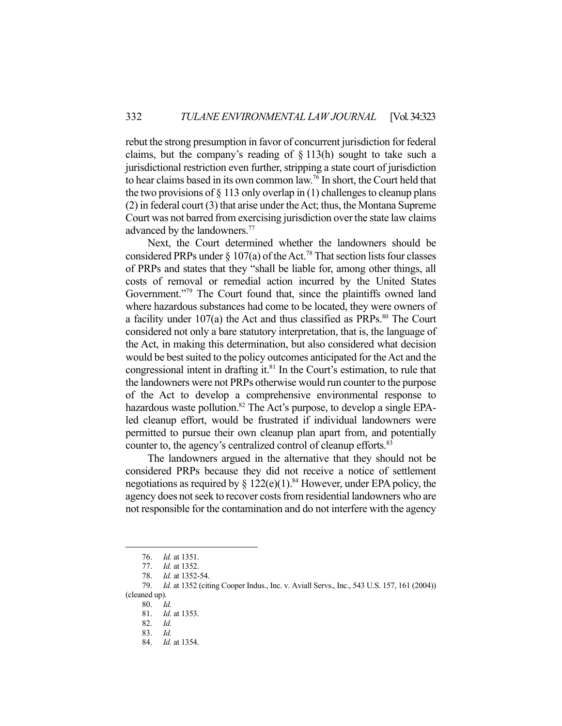rebut the strong presumption in favor of concurrent jurisdiction for federal claims, but the company's reading of § 113(h) sought to take such a jurisdictional restriction even further, stripping a state court of jurisdiction to hear claims based in its own common law.76 In short, the Court held that the two provisions of  $\S 113$  only overlap in (1) challenges to cleanup plans (2) in federal court (3) that arise under the Act; thus, the Montana Supreme Court was not barred from exercising jurisdiction over the state law claims advanced by the landowners.<sup>77</sup>

 Next, the Court determined whether the landowners should be considered PRPs under  $\S 107(a)$  of the Act.<sup>78</sup> That section lists four classes of PRPs and states that they "shall be liable for, among other things, all costs of removal or remedial action incurred by the United States Government."<sup>79</sup> The Court found that, since the plaintiffs owned land where hazardous substances had come to be located, they were owners of a facility under  $107(a)$  the Act and thus classified as PRPs.<sup>80</sup> The Court considered not only a bare statutory interpretation, that is, the language of the Act, in making this determination, but also considered what decision would be best suited to the policy outcomes anticipated for the Act and the congressional intent in drafting it. $81$  In the Court's estimation, to rule that the landowners were not PRPs otherwise would run counter to the purpose of the Act to develop a comprehensive environmental response to hazardous waste pollution.<sup>82</sup> The Act's purpose, to develop a single EPAled cleanup effort, would be frustrated if individual landowners were permitted to pursue their own cleanup plan apart from, and potentially counter to, the agency's centralized control of cleanup efforts. 83

 The landowners argued in the alternative that they should not be considered PRPs because they did not receive a notice of settlement negotiations as required by  $\S 122(e)(1)$ .<sup>84</sup> However, under EPA policy, the agency does not seek to recover costs from residential landowners who are not responsible for the contamination and do not interfere with the agency

 <sup>76.</sup> *Id.* at 1351.

 <sup>77.</sup> *Id.* at 1352.

 <sup>78.</sup> *Id.* at 1352-54.

 <sup>79.</sup> *Id.* at 1352 (citing Cooper Indus., Inc. v. Aviall Servs., Inc., 543 U.S. 157, 161 (2004)) (cleaned up).

 <sup>80.</sup> *Id.* 

 <sup>81.</sup> *Id.* at 1353.

 <sup>82.</sup> *Id.* 

 <sup>83.</sup> *Id.* 

 <sup>84.</sup> *Id.* at 1354.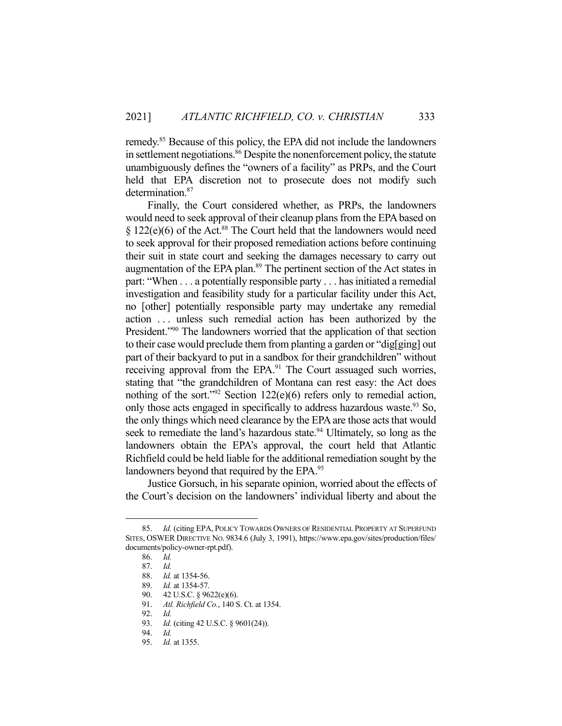remedy.85 Because of this policy, the EPA did not include the landowners in settlement negotiations.<sup>86</sup> Despite the nonenforcement policy, the statute unambiguously defines the "owners of a facility" as PRPs, and the Court held that EPA discretion not to prosecute does not modify such determination.<sup>87</sup>

 Finally, the Court considered whether, as PRPs, the landowners would need to seek approval of their cleanup plans from the EPA based on  $\S 122(e)(6)$  of the Act.<sup>88</sup> The Court held that the landowners would need to seek approval for their proposed remediation actions before continuing their suit in state court and seeking the damages necessary to carry out augmentation of the EPA plan.<sup>89</sup> The pertinent section of the Act states in part: "When . . . a potentially responsible party . . . has initiated a remedial investigation and feasibility study for a particular facility under this Act, no [other] potentially responsible party may undertake any remedial action . . . unless such remedial action has been authorized by the President."90 The landowners worried that the application of that section to their case would preclude them from planting a garden or "dig[ging] out part of their backyard to put in a sandbox for their grandchildren" without receiving approval from the EPA.<sup>91</sup> The Court assuaged such worries, stating that "the grandchildren of Montana can rest easy: the Act does nothing of the sort."92 Section 122(e)(6) refers only to remedial action, only those acts engaged in specifically to address hazardous waste.<sup>93</sup> So, the only things which need clearance by the EPA are those acts that would seek to remediate the land's hazardous state.<sup>94</sup> Ultimately, so long as the landowners obtain the EPA's approval, the court held that Atlantic Richfield could be held liable for the additional remediation sought by the landowners beyond that required by the EPA.<sup>95</sup>

 Justice Gorsuch, in his separate opinion, worried about the effects of the Court's decision on the landowners' individual liberty and about the

 <sup>85.</sup> *Id.* (citing EPA, POLICY TOWARDS OWNERS OF RESIDENTIAL PROPERTY AT SUPERFUND SITES, OSWER DIRECTIVE NO. 9834.6 (July 3, 1991), https://www.epa.gov/sites/production/files/ documents/policy-owner-rpt.pdf).

 <sup>86.</sup> *Id.* 

 <sup>87.</sup> *Id.* 

 <sup>88.</sup> *Id.* at 1354-56.

 <sup>89.</sup> *Id.* at 1354-57.

 <sup>90. 42</sup> U.S.C. § 9622(e)(6).

 <sup>91.</sup> *Atl. Richfield Co.*, 140 S. Ct. at 1354.

 <sup>92.</sup> *Id.* 

 <sup>93.</sup> *Id.* (citing 42 U.S.C. § 9601(24)).

 <sup>94.</sup> *Id.* 

 <sup>95.</sup> *Id.* at 1355.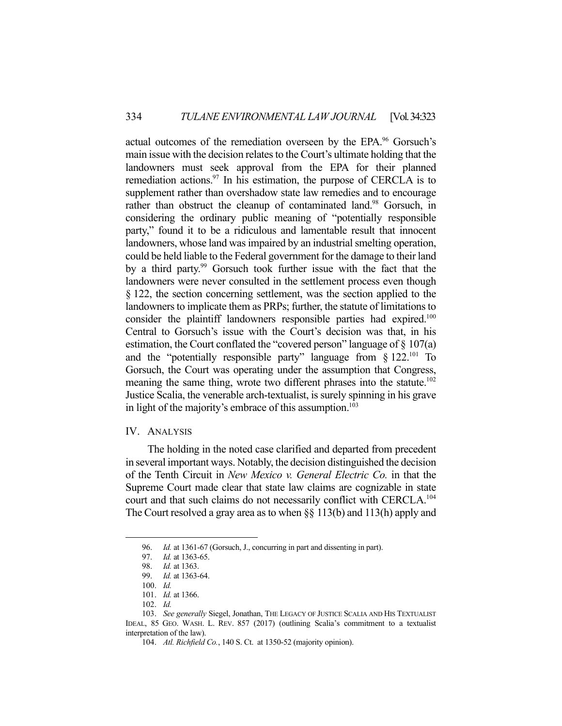actual outcomes of the remediation overseen by the EPA.<sup>96</sup> Gorsuch's main issue with the decision relates to the Court's ultimate holding that the landowners must seek approval from the EPA for their planned remediation actions. $97$  In his estimation, the purpose of CERCLA is to supplement rather than overshadow state law remedies and to encourage rather than obstruct the cleanup of contaminated land.<sup>98</sup> Gorsuch, in considering the ordinary public meaning of "potentially responsible party," found it to be a ridiculous and lamentable result that innocent landowners, whose land was impaired by an industrial smelting operation, could be held liable to the Federal government for the damage to their land by a third party.<sup>99</sup> Gorsuch took further issue with the fact that the landowners were never consulted in the settlement process even though § 122, the section concerning settlement, was the section applied to the landowners to implicate them as PRPs; further, the statute of limitations to consider the plaintiff landowners responsible parties had expired.<sup>100</sup> Central to Gorsuch's issue with the Court's decision was that, in his estimation, the Court conflated the "covered person" language of § 107(a) and the "potentially responsible party" language from  $\S 122$ .<sup>101</sup> To Gorsuch, the Court was operating under the assumption that Congress, meaning the same thing, wrote two different phrases into the statute.<sup>102</sup> Justice Scalia, the venerable arch-textualist, is surely spinning in his grave in light of the majority's embrace of this assumption. $103$ 

### IV. ANALYSIS

 The holding in the noted case clarified and departed from precedent in several important ways. Notably, the decision distinguished the decision of the Tenth Circuit in *New Mexico v. General Electric Co.* in that the Supreme Court made clear that state law claims are cognizable in state court and that such claims do not necessarily conflict with CERCLA.<sup>104</sup> The Court resolved a gray area as to when §§ 113(b) and 113(h) apply and

 <sup>96.</sup> *Id.* at 1361-67 (Gorsuch, J., concurring in part and dissenting in part).

 <sup>97.</sup> *Id.* at 1363-65.

 <sup>98.</sup> *Id.* at 1363.

 <sup>99.</sup> *Id.* at 1363-64.

 <sup>100.</sup> *Id.* 

 <sup>101.</sup> *Id.* at 1366.

 <sup>102.</sup> *Id.*

 <sup>103.</sup> *See generally* Siegel, Jonathan, THE LEGACY OF JUSTICE SCALIA AND HIS TEXTUALIST IDEAL, 85 GEO. WASH. L. REV. 857 (2017) (outlining Scalia's commitment to a textualist interpretation of the law).

 <sup>104.</sup> *Atl. Richfield Co.*, 140 S. Ct. at 1350-52 (majority opinion).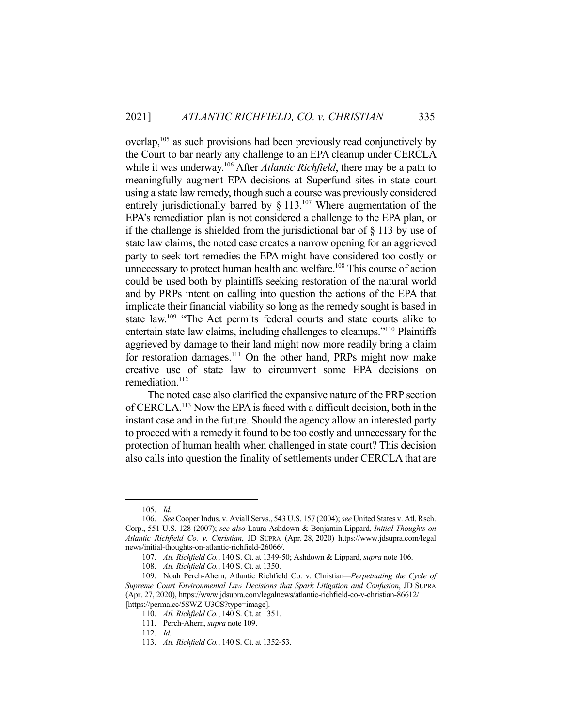overlap,<sup>105</sup> as such provisions had been previously read conjunctively by the Court to bar nearly any challenge to an EPA cleanup under CERCLA while it was underway.<sup>106</sup> After *Atlantic Richfield*, there may be a path to meaningfully augment EPA decisions at Superfund sites in state court using a state law remedy, though such a course was previously considered entirely jurisdictionally barred by  $\S$  113.<sup>107</sup> Where augmentation of the EPA's remediation plan is not considered a challenge to the EPA plan, or if the challenge is shielded from the jurisdictional bar of § 113 by use of state law claims, the noted case creates a narrow opening for an aggrieved party to seek tort remedies the EPA might have considered too costly or unnecessary to protect human health and welfare.<sup>108</sup> This course of action could be used both by plaintiffs seeking restoration of the natural world and by PRPs intent on calling into question the actions of the EPA that implicate their financial viability so long as the remedy sought is based in state law.<sup>109</sup> "The Act permits federal courts and state courts alike to entertain state law claims, including challenges to cleanups."110 Plaintiffs aggrieved by damage to their land might now more readily bring a claim for restoration damages.<sup>111</sup> On the other hand, PRPs might now make creative use of state law to circumvent some EPA decisions on remediation.<sup>112</sup>

 The noted case also clarified the expansive nature of the PRP section of CERCLA.113 Now the EPA is faced with a difficult decision, both in the instant case and in the future. Should the agency allow an interested party to proceed with a remedy it found to be too costly and unnecessary for the protection of human health when challenged in state court? This decision also calls into question the finality of settlements under CERCLA that are

 <sup>105.</sup> *Id.* 

 <sup>106.</sup> *See* Cooper Indus. v. Aviall Servs., 543 U.S. 157 (2004); *see* United States v. Atl. Rsch. Corp., 551 U.S. 128 (2007); *see also* Laura Ashdown & Benjamin Lippard, *Initial Thoughts on Atlantic Richfield Co. v. Christian*, JD SUPRA (Apr. 28, 2020) https://www.jdsupra.com/legal news/initial-thoughts-on-atlantic-richfield-26066/.

 <sup>107.</sup> *Atl. Richfield Co.*, 140 S. Ct. at 1349-50; Ashdown & Lippard, *supra* note 106.

 <sup>108.</sup> *Atl. Richfield Co.*, 140 S. Ct. at 1350.

 <sup>109.</sup> Noah Perch-Ahern, Atlantic Richfield Co. v. Christian*—Perpetuating the Cycle of Supreme Court Environmental Law Decisions that Spark Litigation and Confusion*, JD SUPRA (Apr. 27, 2020), https://www.jdsupra.com/legalnews/atlantic-richfield-co-v-christian-86612/ [https://perma.cc/5SWZ-U3CS?type=image].

 <sup>110.</sup> *Atl. Richfield Co.*, 140 S. Ct. at 1351.

 <sup>111.</sup> Perch-Ahern, *supra* note 109.

 <sup>112.</sup> *Id.* 

 <sup>113.</sup> *Atl. Richfield Co.*, 140 S. Ct. at 1352-53.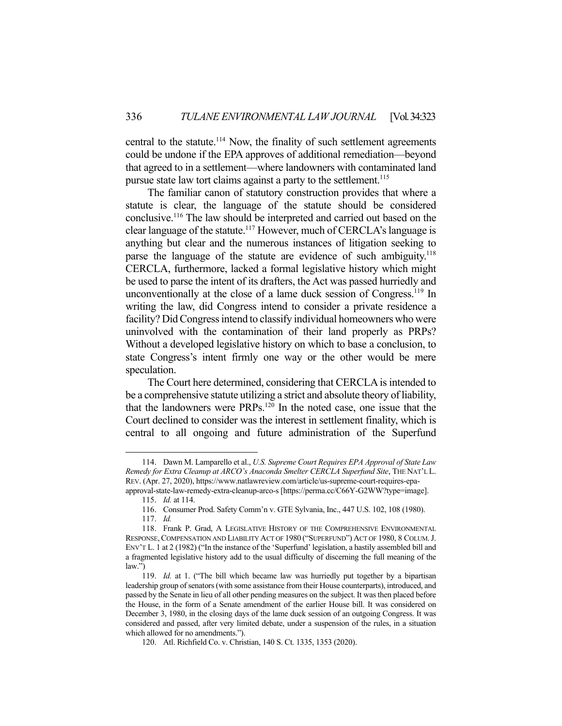central to the statute.<sup>114</sup> Now, the finality of such settlement agreements could be undone if the EPA approves of additional remediation—beyond that agreed to in a settlement—where landowners with contaminated land pursue state law tort claims against a party to the settlement.<sup>115</sup>

 The familiar canon of statutory construction provides that where a statute is clear, the language of the statute should be considered conclusive.116 The law should be interpreted and carried out based on the clear language of the statute.<sup>117</sup> However, much of CERCLA's language is anything but clear and the numerous instances of litigation seeking to parse the language of the statute are evidence of such ambiguity.<sup>118</sup> CERCLA, furthermore, lacked a formal legislative history which might be used to parse the intent of its drafters, the Act was passed hurriedly and unconventionally at the close of a lame duck session of Congress.<sup>119</sup> In writing the law, did Congress intend to consider a private residence a facility? Did Congress intend to classify individual homeowners who were uninvolved with the contamination of their land properly as PRPs? Without a developed legislative history on which to base a conclusion, to state Congress's intent firmly one way or the other would be mere speculation.

 The Court here determined, considering that CERCLA is intended to be a comprehensive statute utilizing a strict and absolute theory of liability, that the landowners were PRPs.120 In the noted case, one issue that the Court declined to consider was the interest in settlement finality, which is central to all ongoing and future administration of the Superfund

 <sup>114.</sup> Dawn M. Lamparello et al., *U.S. Supreme Court Requires EPA Approval of State Law Remedy for Extra Cleanup at ARCO's Anaconda Smelter CERCLA Superfund Site*, THE NAT'L L. REV. (Apr. 27, 2020), https://www.natlawreview.com/article/us-supreme-court-requires-epaapproval-state-law-remedy-extra-cleanup-arco-s [https://perma.cc/C66Y-G2WW?type=image].

 <sup>115.</sup> *Id.* at 114.

 <sup>116.</sup> Consumer Prod. Safety Comm'n v. GTE Sylvania, Inc., 447 U.S. 102, 108 (1980).

 <sup>117.</sup> *Id.* 

 <sup>118.</sup> Frank P. Grad, A LEGISLATIVE HISTORY OF THE COMPREHENSIVE ENVIRONMENTAL RESPONSE, COMPENSATION AND LIABILITY ACT OF 1980 ("SUPERFUND") ACT OF 1980, 8 COLUM. J. ENV'T L. 1 at 2 (1982) ("In the instance of the 'Superfund' legislation, a hastily assembled bill and a fragmented legislative history add to the usual difficulty of discerning the full meaning of the law.")

 <sup>119.</sup> *Id.* at 1. ("The bill which became law was hurriedly put together by a bipartisan leadership group of senators (with some assistance from their House counterparts), introduced, and passed by the Senate in lieu of all other pending measures on the subject. It was then placed before the House, in the form of a Senate amendment of the earlier House bill. It was considered on December 3, 1980, in the closing days of the lame duck session of an outgoing Congress. It was considered and passed, after very limited debate, under a suspension of the rules, in a situation which allowed for no amendments.").

 <sup>120.</sup> Atl. Richfield Co. v. Christian, 140 S. Ct. 1335, 1353 (2020).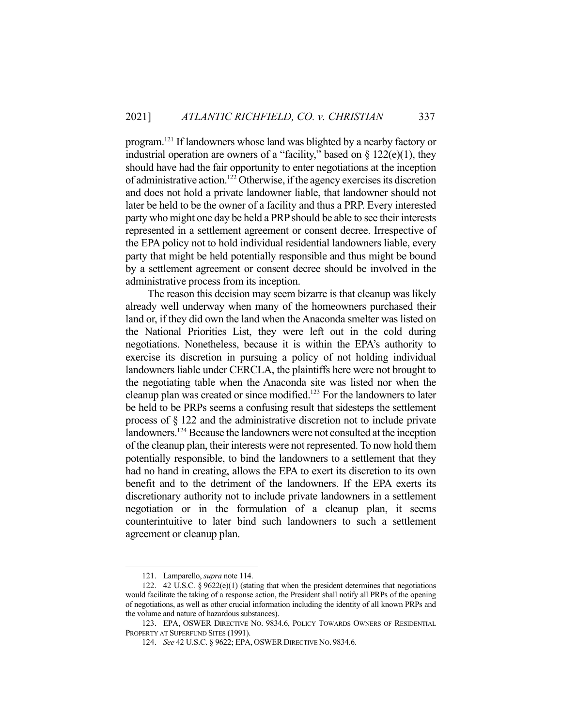program.121 If landowners whose land was blighted by a nearby factory or industrial operation are owners of a "facility," based on  $\S 122(e)(1)$ , they should have had the fair opportunity to enter negotiations at the inception of administrative action.122 Otherwise, if the agency exercises its discretion and does not hold a private landowner liable, that landowner should not later be held to be the owner of a facility and thus a PRP. Every interested party who might one day be held a PRP should be able to see their interests represented in a settlement agreement or consent decree. Irrespective of the EPA policy not to hold individual residential landowners liable, every party that might be held potentially responsible and thus might be bound by a settlement agreement or consent decree should be involved in the administrative process from its inception.

 The reason this decision may seem bizarre is that cleanup was likely already well underway when many of the homeowners purchased their land or, if they did own the land when the Anaconda smelter was listed on the National Priorities List, they were left out in the cold during negotiations. Nonetheless, because it is within the EPA's authority to exercise its discretion in pursuing a policy of not holding individual landowners liable under CERCLA, the plaintiffs here were not brought to the negotiating table when the Anaconda site was listed nor when the cleanup plan was created or since modified.<sup>123</sup> For the landowners to later be held to be PRPs seems a confusing result that sidesteps the settlement process of § 122 and the administrative discretion not to include private landowners.124 Because the landowners were not consulted at the inception of the cleanup plan, their interests were not represented. To now hold them potentially responsible, to bind the landowners to a settlement that they had no hand in creating, allows the EPA to exert its discretion to its own benefit and to the detriment of the landowners. If the EPA exerts its discretionary authority not to include private landowners in a settlement negotiation or in the formulation of a cleanup plan, it seems counterintuitive to later bind such landowners to such a settlement agreement or cleanup plan.

 <sup>121.</sup> Lamparello, *supra* note 114.

 <sup>122. 42</sup> U.S.C. § 9622(e)(1) (stating that when the president determines that negotiations would facilitate the taking of a response action, the President shall notify all PRPs of the opening of negotiations, as well as other crucial information including the identity of all known PRPs and the volume and nature of hazardous substances).

 <sup>123.</sup> EPA, OSWER DIRECTIVE NO. 9834.6, POLICY TOWARDS OWNERS OF RESIDENTIAL PROPERTY AT SUPERFUND SITES (1991).

 <sup>124.</sup> *See* 42 U.S.C. § 9622; EPA, OSWER DIRECTIVE NO. 9834.6.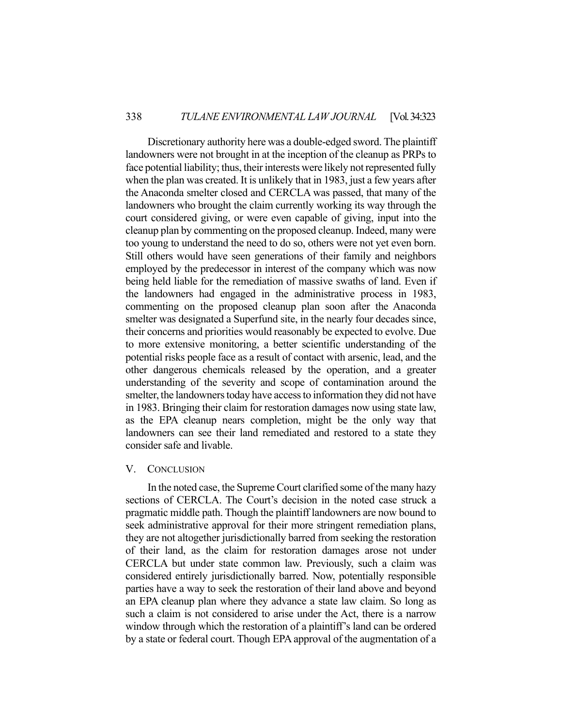Discretionary authority here was a double-edged sword. The plaintiff landowners were not brought in at the inception of the cleanup as PRPs to face potential liability; thus, their interests were likely not represented fully when the plan was created. It is unlikely that in 1983, just a few years after the Anaconda smelter closed and CERCLA was passed, that many of the landowners who brought the claim currently working its way through the court considered giving, or were even capable of giving, input into the cleanup plan by commenting on the proposed cleanup. Indeed, many were too young to understand the need to do so, others were not yet even born. Still others would have seen generations of their family and neighbors employed by the predecessor in interest of the company which was now being held liable for the remediation of massive swaths of land. Even if the landowners had engaged in the administrative process in 1983, commenting on the proposed cleanup plan soon after the Anaconda smelter was designated a Superfund site, in the nearly four decades since, their concerns and priorities would reasonably be expected to evolve. Due to more extensive monitoring, a better scientific understanding of the potential risks people face as a result of contact with arsenic, lead, and the other dangerous chemicals released by the operation, and a greater understanding of the severity and scope of contamination around the smelter, the landowners today have access to information they did not have in 1983. Bringing their claim for restoration damages now using state law, as the EPA cleanup nears completion, might be the only way that landowners can see their land remediated and restored to a state they consider safe and livable.

#### V. CONCLUSION

 In the noted case, the Supreme Court clarified some of the many hazy sections of CERCLA. The Court's decision in the noted case struck a pragmatic middle path. Though the plaintiff landowners are now bound to seek administrative approval for their more stringent remediation plans, they are not altogether jurisdictionally barred from seeking the restoration of their land, as the claim for restoration damages arose not under CERCLA but under state common law. Previously, such a claim was considered entirely jurisdictionally barred. Now, potentially responsible parties have a way to seek the restoration of their land above and beyond an EPA cleanup plan where they advance a state law claim. So long as such a claim is not considered to arise under the Act, there is a narrow window through which the restoration of a plaintiff's land can be ordered by a state or federal court. Though EPA approval of the augmentation of a